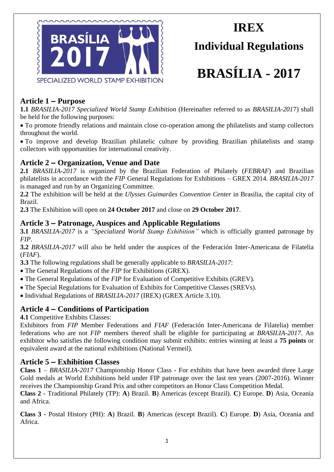

# **IREX Individual Regulations**

# **BRASÍLIA - 2017**

# **Article 1 – Purpose**

**1.1** *BRASILIA-2017 Specialized World Stamp Exhibition* (Hereinafter referred to as *BRASILIA-201*7) shall be held for the following purposes:

To promote friendly relations and maintain close co-operation among the philatelists and stamp collectors throughout the world.

To improve and develop Brazilian philatelic culture by providing Brazilian philatelists and stamp collectors with opportunities for international creativity.

# **Article 2 – Organization, Venue and Date**

**2.1** *BRASILIA-2017* is organized by the Brazilian Federation of Philately (*FEBRAF*) and Brazilian philatelists in accordance with the *FIP* General Regulations for Exhibitions – GREX 2014. *BRASILIA-2017* is managed and run by an Organizing Committee.

**2.2** The exhibition will be held at the *Ulysses Guimarães Convention Center* in Brasilia, the capital city of Brazil.

**2.3** The Exhibition will open on **24 October 2017** and close on **29 October 2017**.

# **Article 3 – Patronage, Auspices and Applicable Regulations**

**3.1** *BRASILIA-2017* is a *"Specialized World Stamp Exhibition"* which is officially granted patronage by *FIP*.

**3.2** *BRASILIA-2017* will also be held under the auspices of the Federación Inter-Americana de Filatelia (*FIAF*).

**3.3** The following regulations shall be generally applicable to *BRASILIA-2017*:

- The General Regulations of the *FIP* for Exhibitions (GREX).
- The General Regulations of the *FIP* for Evaluation of Competitive Exhibits (GREV).
- The Special Regulations for Evaluation of Exhibits for Competitive Classes (SREVs).

Individual Regulations of *BRASILIA-2017* (IREX) (GREX Article 3.10).

# **Article 4 – Conditions of Participation**

**4.1** Competitive Exhibits Classes:

Exhibitors from *FIP* Member Federations and *FIAF* (Federación Inter-Americana de Filatelia) member federations who are not *FIP* members thereof shall be eligible for participating at *BRASILIA-2017*. An exhibitor who satisfies the following condition may submit exhibits: entries winning at least a **75 points** or equivalent award at the national exhibitions (National Vermeil).

# **Article 5 – Exhibition Classes**

**Class 1** – *BRASILIA-2017* Championship Honor Class - For exhibits that have been awarded three Large Gold medals at World Exhibitions held under FIP patronage over the last ten years (2007-2016). Winner receives the Championship Grand Prix and other competitors an Honor Class Competition Medal.

**Class 2** - Traditional Philately (TP): **A**) Brazil. **B**) Americas (except Brazil). **C**) Europe. **D**) Asia, Oceania and Africa.

**Class 3** - Postal History (PH): **A**) Brazil. **B**) Americas (except Brazil). **C**) Europe. **D**) Asia, Oceania and Africa.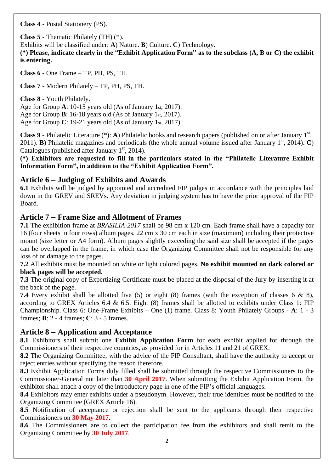**Class 4** - Postal Stationery (PS).

**Class 5** - Thematic Philately (TH) (\*).

Exhibits will be classified under: **A**) Nature. **B**) Culture. **C**) Technology.

**(\*) Please, indicate clearly in the "Exhibit Application Form" as to the subclass (A, B or C) the exhibit is entering.**

**Class 6 -** One Frame – TP, PH, PS, TH.

**Class 7** - Modern Philately – TP, PH, PS, TH.

**Class 8** - Youth Philately. Age for Group **A**: 10-15 years old (As of January 1st, 2017). Age for Group **B**: 16-18 years old (As of January 1st, 2017). Age for Group **C**: 19-21 years old (As of January 1st, 2017).

Class 9 - Philatelic Literature (\*): A) Philatelic books and research papers (published on or after January 1<sup>st</sup>, 2011). **B**) Philatelic magazines and periodicals (the whole annual volume issued after January 1<sup>st</sup>, 2014). **C**) Catalogues (published after January  $1<sup>st</sup>$ , 2014).

**(\*) Exhibitors are requested to fill in the particulars stated in the "Philatelic Literature Exhibit Information Form", in addition to the "Exhibit Application Form".**

## **Article 6 – Judging of Exhibits and Awards**

**6.1** Exhibits will be judged by appointed and accredited FIP judges in accordance with the principles laid down in the GREV and SREVs. Any deviation in judging system has to have the prior approval of the FIP Board.

#### **Article 7 – Frame Size and Allotment of Frames**

**7.1** The exhibition frame at *BRASILIA-2017* shall be 98 cm x 120 cm. Each frame shall have a capacity for 16 (four sheets in four rows) album pages, 22 cm x 30 cm each in size (maximum) including their protective mount (size letter or A4 form). Album pages slightly exceeding the said size shall be accepted if the pages can be overlapped in the frame, in which case the Organizing Committee shall not be responsible for any loss of or damage to the pages.

**7.2** All exhibits must be mounted on white or light colored pages. **No exhibit mounted on dark colored or black pages will be accepted.**

**7.3** The original copy of Expertizing Certificate must be placed at the disposal of the Jury by inserting it at the back of the page.

**7.4** Every exhibit shall be allotted five (5) or eight (8) frames (with the exception of classes 6 & 8), according to GREX Articles 6.4 & 6.5. Eight (8) frames shall be allotted to exhibits under Class 1: FIP Championship. Class 6: One-Frame Exhibits – One (1) frame. Class 8: Youth Philately Groups - **A**: 1 - 3 frames; **B**: 2 - 4 frames; **C**: 3 - 5 frames.

# **Article 8 – Application and Acceptance**

**8.1** Exhibitors shall submit one **Exhibit Application Form** for each exhibit applied for through the Commissioners of their respective countries, as provided for in Articles 11 and 21 of GREX.

**8.2** The Organizing Committee, with the advice of the FIP Consultant, shall have the authority to accept or reject entries without specifying the reason therefore.

**8.3** Exhibit Application Forms duly filled shall be submitted through the respective Commissioners to the Commissioner-General not later than **30 April 2017**. When submitting the Exhibit Application Form, the exhibitor shall attach a copy of the introductory page in one of the FIP's official languages.

**8.4** Exhibitors may enter exhibits under a pseudonym. However, their true identities must be notified to the Organizing Committee (GREX Article 16).

**8.5** Notification of acceptance or rejection shall be sent to the applicants through their respective Commissioners on **30 May 2017**.

**8.6** The Commissioners are to collect the participation fee from the exhibitors and shall remit to the Organizing Committee by **30 July 2017**.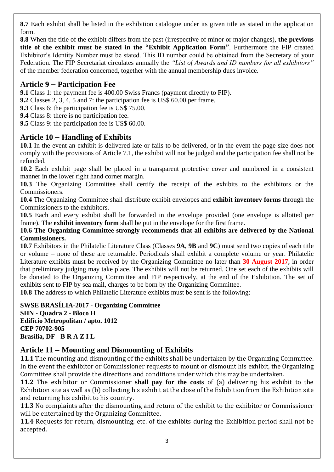**8.7** Each exhibit shall be listed in the exhibition catalogue under its given title as stated in the application form.

**8.8** When the title of the exhibit differs from the past (irrespective of minor or major changes), **the previous title of the exhibit must be stated in the "Exhibit Application Form"**. Furthermore the FIP created Exhibitor's Identity Number must be stated. This ID number could be obtained from the Secretary of your Federation. The FIP Secretariat circulates annually the *"List of Awards and ID numbers for all exhibitors"* of the member federation concerned, together with the annual membership dues invoice.

# **Article 9 – Participation Fee**

**9.1** Class 1: the payment fee is 400.00 Swiss Francs (payment directly to FIP).

**9.2** Classes 2, 3, 4, 5 and 7: the participation fee is US\$ 60.00 per frame.

**9.3** Class 6: the participation fee is US\$ 75.00.

**9.4** Class 8: there is no participation fee.

**9.5** Class 9: the participation fee is US\$ 60.00.

# **Article 10 – Handling of Exhibits**

**10.1** In the event an exhibit is delivered late or fails to be delivered, or in the event the page size does not comply with the provisions of Article 7.1, the exhibit will not be judged and the participation fee shall not be refunded.

**10.2** Each exhibit page shall be placed in a transparent protective cover and numbered in a consistent manner in the lower right hand corner margin.

**10.3** The Organizing Committee shall certify the receipt of the exhibits to the exhibitors or the Commissioners.

**10.4** The Organizing Committee shall distribute exhibit envelopes and **exhibit inventory forms** through the Commissioners to the exhibitors.

**10.5** Each and every exhibit shall be forwarded in the envelope provided (one envelope is allotted per frame). The **exhibit inventory form** shall be put in the envelope for the first frame.

#### **10.6 The Organizing Committee strongly recommends that all exhibits are delivered by the National Commissioners.**

**10.7** Exhibitors in the Philatelic Literature Class (Classes **9A**, **9B** and **9C**) must send two copies of each title or volume – none of these are returnable. Periodicals shall exhibit a complete volume or year. Philatelic Literature exhibits must be received by the Organizing Committee no later than **30 August 2017**, in order that preliminary judging may take place. The exhibits will not be returned. One set each of the exhibits will be donated to the Organizing Committee and FIP respectively, at the end of the Exhibition. The set of exhibits sent to FIP by sea mail, charges to be born by the Organizing Committee.

**10.8** The address to which Philatelic Literature exhibits must be sent is the following:

**SWSE BRASÍLIA-2017 - Organizing Committee SHN - Quadra 2 - Bloco H Edifício Metropolitan / apto. 1012 CEP 70702-905 Brasília, DF - B R A Z I L**

# **Article 11 – Mounting and Dismounting of Exhibits**

**11.1** The mounting and dismounting of the exhibits shall be undertaken by the Organizing Committee. In the event the exhibitor or Commissioner requests to mount or dismount his exhibit, the Organizing Committee shall provide the directions and conditions under which this may be undertaken.

**11.2** The exhibitor or Commissioner **shall pay for the costs** of (a) delivering his exhibit to the Exhibition site as well as (b) collecting his exhibit at the close of the Exhibition from the Exhibition site and returning his exhibit to his country.

**11.3** No complaints after the dismounting and return of the exhibit to the exhibitor or Commissioner will be entertained by the Organizing Committee.

**11.4** Requests for return, dismounting, etc. of the exhibits during the Exhibition period shall not be accepted.